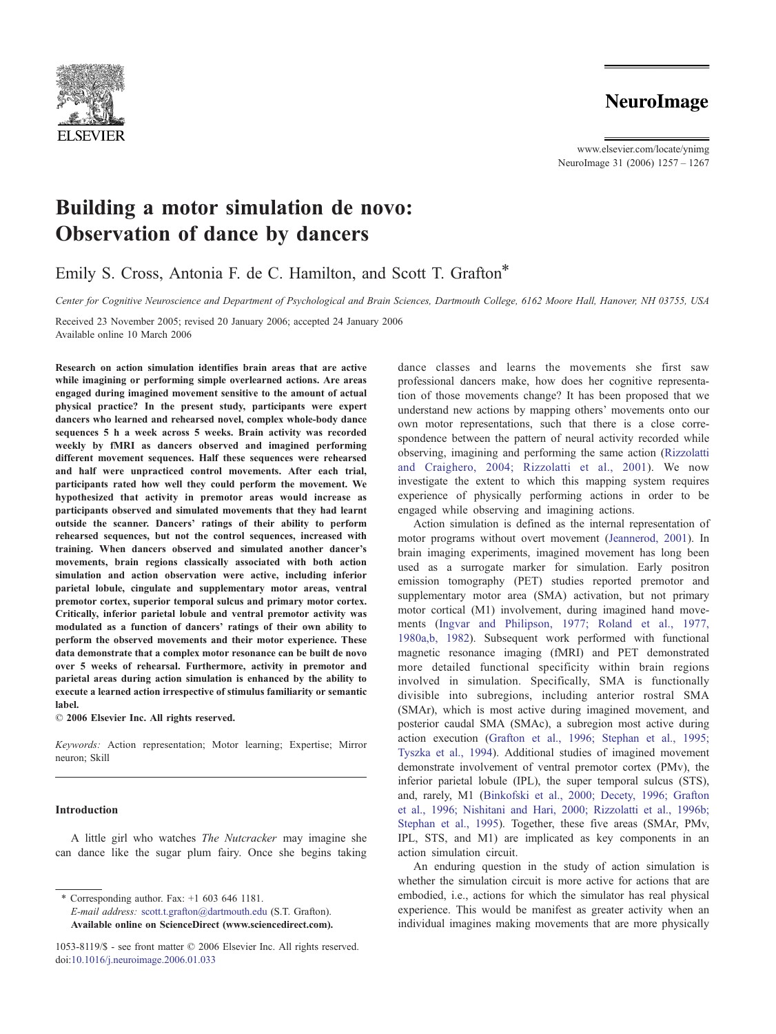

# **NeuroImage**

www.elsevier.com/locate/ynimg NeuroImage 31 (2006) 1257 – 1267

# Building a motor simulation de novo: Observation of dance by dancers

Emily S. Cross, Antonia F. de C. Hamilton, and Scott T. Grafton\*

Center for Cognitive Neuroscience and Department of Psychological and Brain Sciences, Dartmouth College, 6162 Moore Hall, Hanover, NH 03755, USA

Received 23 November 2005; revised 20 January 2006; accepted 24 January 2006 Available online 10 March 2006

Research on action simulation identifies brain areas that are active while imagining or performing simple overlearned actions. Are areas engaged during imagined movement sensitive to the amount of actual physical practice? In the present study, participants were expert dancers who learned and rehearsed novel, complex whole-body dance sequences 5 h a week across 5 weeks. Brain activity was recorded weekly by fMRI as dancers observed and imagined performing different movement sequences. Half these sequences were rehearsed and half were unpracticed control movements. After each trial, participants rated how well they could perform the movement. We hypothesized that activity in premotor areas would increase as participants observed and simulated movements that they had learnt outside the scanner. Dancers' ratings of their ability to perform rehearsed sequences, but not the control sequences, increased with training. When dancers observed and simulated another dancer's movements, brain regions classically associated with both action simulation and action observation were active, including inferior parietal lobule, cingulate and supplementary motor areas, ventral premotor cortex, superior temporal sulcus and primary motor cortex. Critically, inferior parietal lobule and ventral premotor activity was modulated as a function of dancers' ratings of their own ability to perform the observed movements and their motor experience. These data demonstrate that a complex motor resonance can be built de novo over 5 weeks of rehearsal. Furthermore, activity in premotor and parietal areas during action simulation is enhanced by the ability to execute a learned action irrespective of stimulus familiarity or semantic label.

 $© 2006 Elsevier Inc. All rights reserved.$ 

Keywords: Action representation; Motor learning; Expertise; Mirror neuron; Skill

#### Introduction

A little girl who watches The Nutcracker may imagine she can dance like the sugar plum fairy. Once she begins taking

E-mail address: [scott.t.grafton@dartmouth.edu](mailto:scott.t.grafton@dartmouth.edu) (S.T. Grafton). Available online on ScienceDirect ([www.sciencedirect.com](http://www.sciencedirect.com)). dance classes and learns the movements she first saw professional dancers make, how does her cognitive representation of those movements change? It has been proposed that we understand new actions by mapping others' movements onto our own motor representations, such that there is a close correspondence between the pattern of neural activity recorded while observing, imagining and performing the same action ([Rizzolatti](#page-9-0) and Craighero, 2004; Rizzolatti et al., 2001). We now investigate the extent to which this mapping system requires experience of physically performing actions in order to be engaged while observing and imagining actions.

Action simulation is defined as the internal representation of motor programs without overt movement ([Jeannerod, 2001\)](#page-9-0). In brain imaging experiments, imagined movement has long been used as a surrogate marker for simulation. Early positron emission tomography (PET) studies reported premotor and supplementary motor area (SMA) activation, but not primary motor cortical (M1) involvement, during imagined hand movements ([Ingvar and Philipson, 1977; Roland et al., 1977,](#page-9-0) 1980a,b, 1982). Subsequent work performed with functional magnetic resonance imaging (fMRI) and PET demonstrated more detailed functional specificity within brain regions involved in simulation. Specifically, SMA is functionally divisible into subregions, including anterior rostral SMA (SMAr), which is most active during imagined movement, and posterior caudal SMA (SMAc), a subregion most active during action execution ([Grafton et al., 1996; Stephan et al., 1995;](#page-9-0) Tyszka et al., 1994). Additional studies of imagined movement demonstrate involvement of ventral premotor cortex (PMv), the inferior parietal lobule (IPL), the super temporal sulcus (STS), and, rarely, M1 ([Binkofski et al., 2000; Decety, 1996; Grafton](#page-8-0) et al., 1996; Nishitani and Hari, 2000; Rizzolatti et al., 1996b; Stephan et al., 1995). Together, these five areas (SMAr, PMv, IPL, STS, and M1) are implicated as key components in an action simulation circuit.

An enduring question in the study of action simulation is whether the simulation circuit is more active for actions that are embodied, i.e., actions for which the simulator has real physical experience. This would be manifest as greater activity when an individual imagines making movements that are more physically

<sup>\*</sup> Corresponding author. Fax: +1 603 646 1181.

<sup>1053-8119/\$ -</sup> see front matter © 2006 Elsevier Inc. All rights reserved. doi:[10.1016/j.neuroimage.2006.01.033](http://dx.doi.org/10.1016/j.neuroimage.2006.01.033)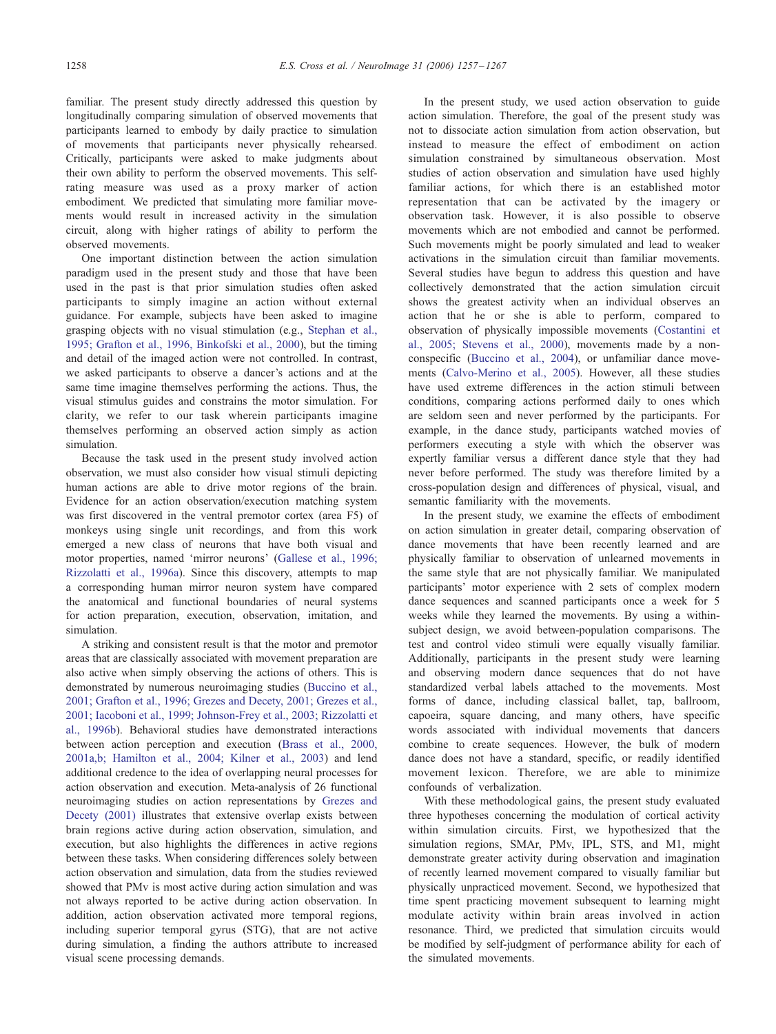familiar. The present study directly addressed this question by longitudinally comparing simulation of observed movements that participants learned to embody by daily practice to simulation of movements that participants never physically rehearsed. Critically, participants were asked to make judgments about their own ability to perform the observed movements. This selfrating measure was used as a proxy marker of action embodiment. We predicted that simulating more familiar movements would result in increased activity in the simulation circuit, along with higher ratings of ability to perform the observed movements.

One important distinction between the action simulation paradigm used in the present study and those that have been used in the past is that prior simulation studies often asked participants to simply imagine an action without external guidance. For example, subjects have been asked to imagine grasping objects with no visual stimulation (e.g., [Stephan et al.,](#page-10-0) 1995; Grafton et al., 1996, Binkofski et al., 2000), but the timing and detail of the imaged action were not controlled. In contrast, we asked participants to observe a dancer's actions and at the same time imagine themselves performing the actions. Thus, the visual stimulus guides and constrains the motor simulation. For clarity, we refer to our task wherein participants imagine themselves performing an observed action simply as action simulation.

Because the task used in the present study involved action observation, we must also consider how visual stimuli depicting human actions are able to drive motor regions of the brain. Evidence for an action observation/execution matching system was first discovered in the ventral premotor cortex (area F5) of monkeys using single unit recordings, and from this work emerged a new class of neurons that have both visual and motor properties, named 'mirror neurons' ([Gallese et al., 1996;](#page-9-0) Rizzolatti et al., 1996a). Since this discovery, attempts to map a corresponding human mirror neuron system have compared the anatomical and functional boundaries of neural systems for action preparation, execution, observation, imitation, and simulation.

A striking and consistent result is that the motor and premotor areas that are classically associated with movement preparation are also active when simply observing the actions of others. This is demonstrated by numerous neuroimaging studies ([Buccino et al.,](#page-9-0) 2001; Grafton et al., 1996; Grezes and Decety, 2001; Grezes et al., 2001; Iacoboni et al., 1999; Johnson-Frey et al., 2003; Rizzolatti et al., 1996b). Behavioral studies have demonstrated interactions between action perception and execution ([Brass et al., 2000,](#page-9-0) 2001a,b; Hamilton et al., 2004; Kilner et al., 2003) and lend additional credence to the idea of overlapping neural processes for action observation and execution. Meta-analysis of 26 functional neuroimaging studies on action representations by [Grezes and](#page-9-0) Decety (2001) illustrates that extensive overlap exists between brain regions active during action observation, simulation, and execution, but also highlights the differences in active regions between these tasks. When considering differences solely between action observation and simulation, data from the studies reviewed showed that PMv is most active during action simulation and was not always reported to be active during action observation. In addition, action observation activated more temporal regions, including superior temporal gyrus (STG), that are not active during simulation, a finding the authors attribute to increased visual scene processing demands.

In the present study, we used action observation to guide action simulation. Therefore, the goal of the present study was not to dissociate action simulation from action observation, but instead to measure the effect of embodiment on action simulation constrained by simultaneous observation. Most studies of action observation and simulation have used highly familiar actions, for which there is an established motor representation that can be activated by the imagery or observation task. However, it is also possible to observe movements which are not embodied and cannot be performed. Such movements might be poorly simulated and lead to weaker activations in the simulation circuit than familiar movements. Several studies have begun to address this question and have collectively demonstrated that the action simulation circuit shows the greatest activity when an individual observes an action that he or she is able to perform, compared to observation of physically impossible movements ([Costantini et](#page-9-0) al., 2005; Stevens et al., 2000), movements made by a nonconspecific ([Buccino et al., 2004\)](#page-9-0), or unfamiliar dance movements ([Calvo-Merino et al., 2005\)](#page-9-0). However, all these studies have used extreme differences in the action stimuli between conditions, comparing actions performed daily to ones which are seldom seen and never performed by the participants. For example, in the dance study, participants watched movies of performers executing a style with which the observer was expertly familiar versus a different dance style that they had never before performed. The study was therefore limited by a cross-population design and differences of physical, visual, and semantic familiarity with the movements.

In the present study, we examine the effects of embodiment on action simulation in greater detail, comparing observation of dance movements that have been recently learned and are physically familiar to observation of unlearned movements in the same style that are not physically familiar. We manipulated participants' motor experience with 2 sets of complex modern dance sequences and scanned participants once a week for 5 weeks while they learned the movements. By using a withinsubject design, we avoid between-population comparisons. The test and control video stimuli were equally visually familiar. Additionally, participants in the present study were learning and observing modern dance sequences that do not have standardized verbal labels attached to the movements. Most forms of dance, including classical ballet, tap, ballroom, capoeira, square dancing, and many others, have specific words associated with individual movements that dancers combine to create sequences. However, the bulk of modern dance does not have a standard, specific, or readily identified movement lexicon. Therefore, we are able to minimize confounds of verbalization.

With these methodological gains, the present study evaluated three hypotheses concerning the modulation of cortical activity within simulation circuits. First, we hypothesized that the simulation regions, SMAr, PMv, IPL, STS, and M1, might demonstrate greater activity during observation and imagination of recently learned movement compared to visually familiar but physically unpracticed movement. Second, we hypothesized that time spent practicing movement subsequent to learning might modulate activity within brain areas involved in action resonance. Third, we predicted that simulation circuits would be modified by self-judgment of performance ability for each of the simulated movements.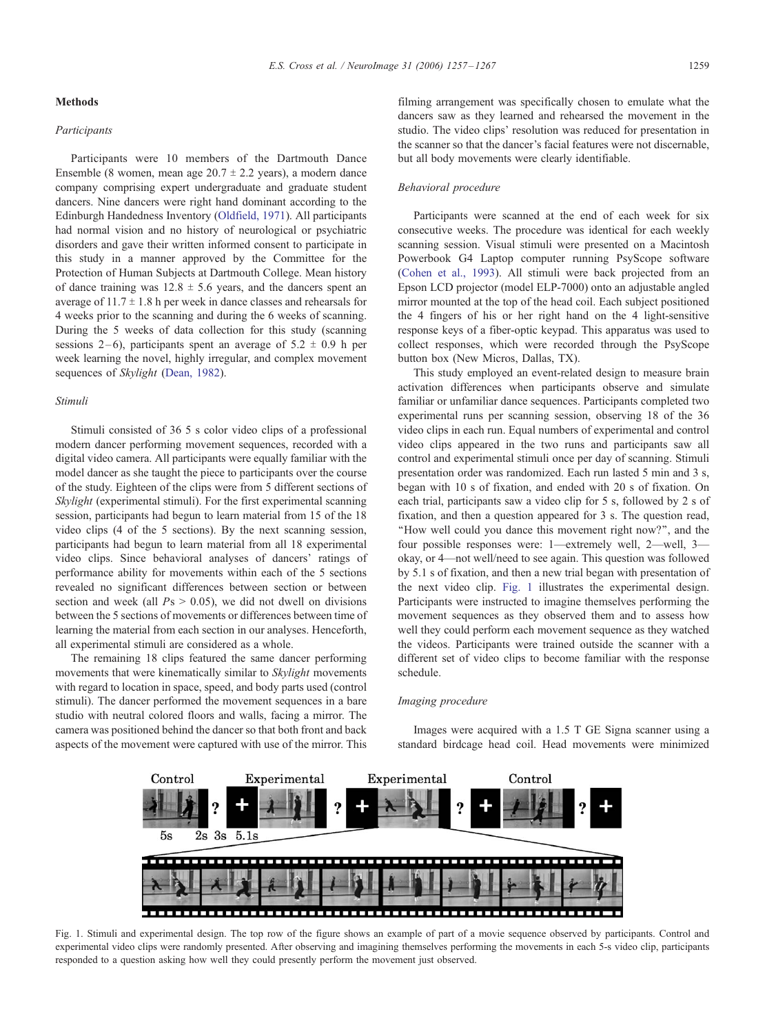#### Participants

Participants were 10 members of the Dartmouth Dance Ensemble (8 women, mean age  $20.7 \pm 2.2$  years), a modern dance company comprising expert undergraduate and graduate student dancers. Nine dancers were right hand dominant according to the Edinburgh Handedness Inventory ([Oldfield, 1971\)](#page-9-0). All participants had normal vision and no history of neurological or psychiatric disorders and gave their written informed consent to participate in this study in a manner approved by the Committee for the Protection of Human Subjects at Dartmouth College. Mean history of dance training was  $12.8 \pm 5.6$  years, and the dancers spent an average of  $11.7 \pm 1.8$  h per week in dance classes and rehearsals for 4 weeks prior to the scanning and during the 6 weeks of scanning. During the 5 weeks of data collection for this study (scanning sessions 2–6), participants spent an average of  $5.2 \pm 0.9$  h per week learning the novel, highly irregular, and complex movement sequences of Skylight ([Dean, 1982\)](#page-9-0).

#### Stimuli

Stimuli consisted of 36 5 s color video clips of a professional modern dancer performing movement sequences, recorded with a digital video camera. All participants were equally familiar with the model dancer as she taught the piece to participants over the course of the study. Eighteen of the clips were from 5 different sections of Skylight (experimental stimuli). For the first experimental scanning session, participants had begun to learn material from 15 of the 18 video clips (4 of the 5 sections). By the next scanning session, participants had begun to learn material from all 18 experimental video clips. Since behavioral analyses of dancers' ratings of performance ability for movements within each of the 5 sections revealed no significant differences between section or between section and week (all  $Ps > 0.05$ ), we did not dwell on divisions between the 5 sections of movements or differences between time of learning the material from each section in our analyses. Henceforth, all experimental stimuli are considered as a whole.

The remaining 18 clips featured the same dancer performing movements that were kinematically similar to Skylight movements with regard to location in space, speed, and body parts used (control stimuli). The dancer performed the movement sequences in a bare studio with neutral colored floors and walls, facing a mirror. The camera was positioned behind the dancer so that both front and back aspects of the movement were captured with use of the mirror. This filming arrangement was specifically chosen to emulate what the dancers saw as they learned and rehearsed the movement in the studio. The video clips' resolution was reduced for presentation in the scanner so that the dancer's facial features were not discernable, but all body movements were clearly identifiable.

#### Behavioral procedure

Participants were scanned at the end of each week for six consecutive weeks. The procedure was identical for each weekly scanning session. Visual stimuli were presented on a Macintosh Powerbook G4 Laptop computer running PsyScope software ([Cohen et al., 1993\)](#page-9-0). All stimuli were back projected from an Epson LCD projector (model ELP-7000) onto an adjustable angled mirror mounted at the top of the head coil. Each subject positioned the 4 fingers of his or her right hand on the 4 light-sensitive response keys of a fiber-optic keypad. This apparatus was used to collect responses, which were recorded through the PsyScope button box (New Micros, Dallas, TX).

This study employed an event-related design to measure brain activation differences when participants observe and simulate familiar or unfamiliar dance sequences. Participants completed two experimental runs per scanning session, observing 18 of the 36 video clips in each run. Equal numbers of experimental and control video clips appeared in the two runs and participants saw all control and experimental stimuli once per day of scanning. Stimuli presentation order was randomized. Each run lasted 5 min and 3 s, began with 10 s of fixation, and ended with 20 s of fixation. On each trial, participants saw a video clip for 5 s, followed by 2 s of fixation, and then a question appeared for 3 s. The question read, ''How well could you dance this movement right now?'', and the four possible responses were: 1—extremely well, 2—well, 3 okay, or 4—not well/need to see again. This question was followed by 5.1 s of fixation, and then a new trial began with presentation of the next video clip. Fig. 1 illustrates the experimental design. Participants were instructed to imagine themselves performing the movement sequences as they observed them and to assess how well they could perform each movement sequence as they watched the videos. Participants were trained outside the scanner with a different set of video clips to become familiar with the response schedule.

## Imaging procedure

Images were acquired with a 1.5 T GE Signa scanner using a standard birdcage head coil. Head movements were minimized



Fig. 1. Stimuli and experimental design. The top row of the figure shows an example of part of a movie sequence observed by participants. Control and experimental video clips were randomly presented. After observing and imagining themselves performing the movements in each 5-s video clip, participants responded to a question asking how well they could presently perform the movement just observed.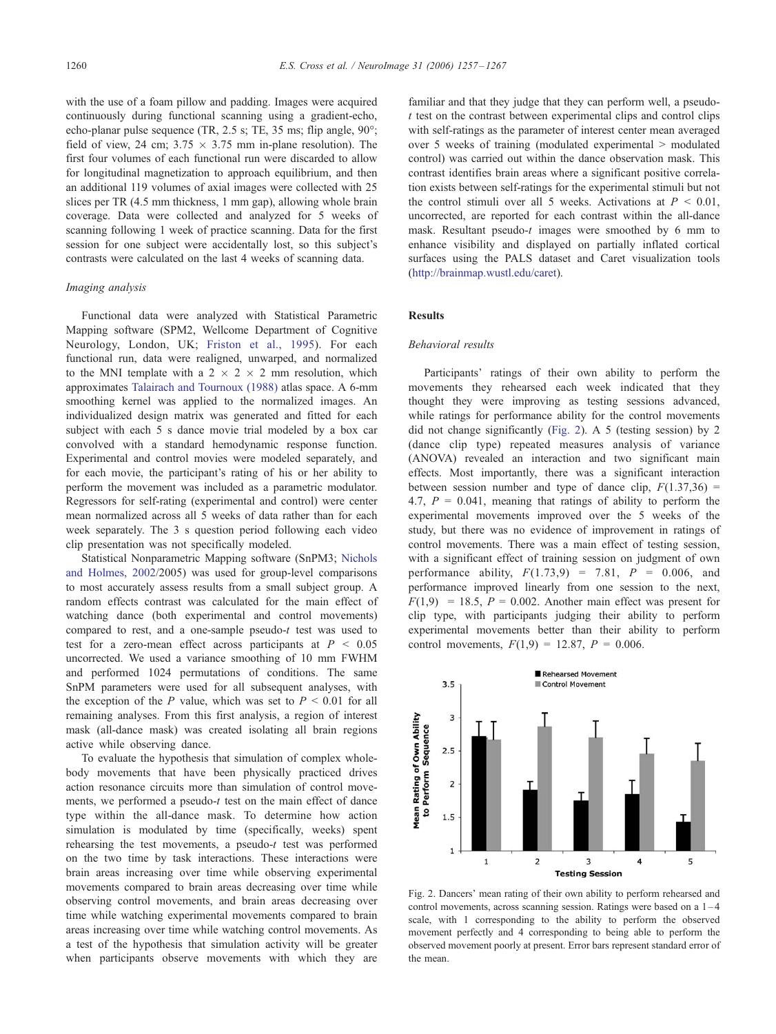with the use of a foam pillow and padding. Images were acquired continuously during functional scanning using a gradient-echo, echo-planar pulse sequence (TR, 2.5 s; TE, 35 ms; flip angle, 90°; field of view, 24 cm;  $3.75 \times 3.75$  mm in-plane resolution). The first four volumes of each functional run were discarded to allow for longitudinal magnetization to approach equilibrium, and then an additional 119 volumes of axial images were collected with 25 slices per TR (4.5 mm thickness, 1 mm gap), allowing whole brain coverage. Data were collected and analyzed for 5 weeks of scanning following 1 week of practice scanning. Data for the first session for one subject were accidentally lost, so this subject's contrasts were calculated on the last 4 weeks of scanning data.

# Imaging analysis

Functional data were analyzed with Statistical Parametric Mapping software (SPM2, Wellcome Department of Cognitive Neurology, London, UK; [Friston et al., 1995\)](#page-9-0). For each functional run, data were realigned, unwarped, and normalized to the MNI template with a  $2 \times 2 \times 2$  mm resolution, which approximates [Talairach and Tournoux \(1988\)](#page-10-0) atlas space. A 6-mm smoothing kernel was applied to the normalized images. An individualized design matrix was generated and fitted for each subject with each 5 s dance movie trial modeled by a box car convolved with a standard hemodynamic response function. Experimental and control movies were modeled separately, and for each movie, the participant's rating of his or her ability to perform the movement was included as a parametric modulator. Regressors for self-rating (experimental and control) were center mean normalized across all 5 weeks of data rather than for each week separately. The 3 s question period following each video clip presentation was not specifically modeled.

Statistical Nonparametric Mapping software (SnPM3; [Nichols](#page-9-0) and Holmes, 2002/2005) was used for group-level comparisons to most accurately assess results from a small subject group. A random effects contrast was calculated for the main effect of watching dance (both experimental and control movements) compared to rest, and a one-sample pseudo-t test was used to test for a zero-mean effect across participants at  $P < 0.05$ uncorrected. We used a variance smoothing of 10 mm FWHM and performed 1024 permutations of conditions. The same SnPM parameters were used for all subsequent analyses, with the exception of the P value, which was set to  $P \leq 0.01$  for all remaining analyses. From this first analysis, a region of interest mask (all-dance mask) was created isolating all brain regions active while observing dance.

To evaluate the hypothesis that simulation of complex wholebody movements that have been physically practiced drives action resonance circuits more than simulation of control movements, we performed a pseudo-t test on the main effect of dance type within the all-dance mask. To determine how action simulation is modulated by time (specifically, weeks) spent rehearsing the test movements, a pseudo-t test was performed on the two time by task interactions. These interactions were brain areas increasing over time while observing experimental movements compared to brain areas decreasing over time while observing control movements, and brain areas decreasing over time while watching experimental movements compared to brain areas increasing over time while watching control movements. As a test of the hypothesis that simulation activity will be greater when participants observe movements with which they are

familiar and that they judge that they can perform well, a pseudo $t$  test on the contrast between experimental clips and control clips with self-ratings as the parameter of interest center mean averaged over 5 weeks of training (modulated experimental > modulated control) was carried out within the dance observation mask. This contrast identifies brain areas where a significant positive correlation exists between self-ratings for the experimental stimuli but not the control stimuli over all 5 weeks. Activations at  $P \le 0.01$ , uncorrected, are reported for each contrast within the all-dance mask. Resultant pseudo-t images were smoothed by 6 mm to enhance visibility and displayed on partially inflated cortical surfaces using the PALS dataset and Caret visualization tools ([http://brainmap.wustl.edu/caret\)](http://brainmap.wustl.edu/caret).

# Results

# Behavioral results

Participants' ratings of their own ability to perform the movements they rehearsed each week indicated that they thought they were improving as testing sessions advanced, while ratings for performance ability for the control movements did not change significantly (Fig. 2). A 5 (testing session) by 2 (dance clip type) repeated measures analysis of variance (ANOVA) revealed an interaction and two significant main effects. Most importantly, there was a significant interaction between session number and type of dance clip,  $F(1.37,36) =$ 4.7,  $P = 0.041$ , meaning that ratings of ability to perform the experimental movements improved over the 5 weeks of the study, but there was no evidence of improvement in ratings of control movements. There was a main effect of testing session, with a significant effect of training session on judgment of own performance ability,  $F(1.73,9) = 7.81$ ,  $P = 0.006$ , and performance improved linearly from one session to the next,  $F(1,9) = 18.5$ ,  $P = 0.002$ . Another main effect was present for clip type, with participants judging their ability to perform experimental movements better than their ability to perform control movements,  $F(1,9) = 12.87$ ,  $P = 0.006$ .



Fig. 2. Dancers' mean rating of their own ability to perform rehearsed and control movements, across scanning session. Ratings were based on a  $1-4$ scale, with 1 corresponding to the ability to perform the observed movement perfectly and 4 corresponding to being able to perform the observed movement poorly at present. Error bars represent standard error of the mean.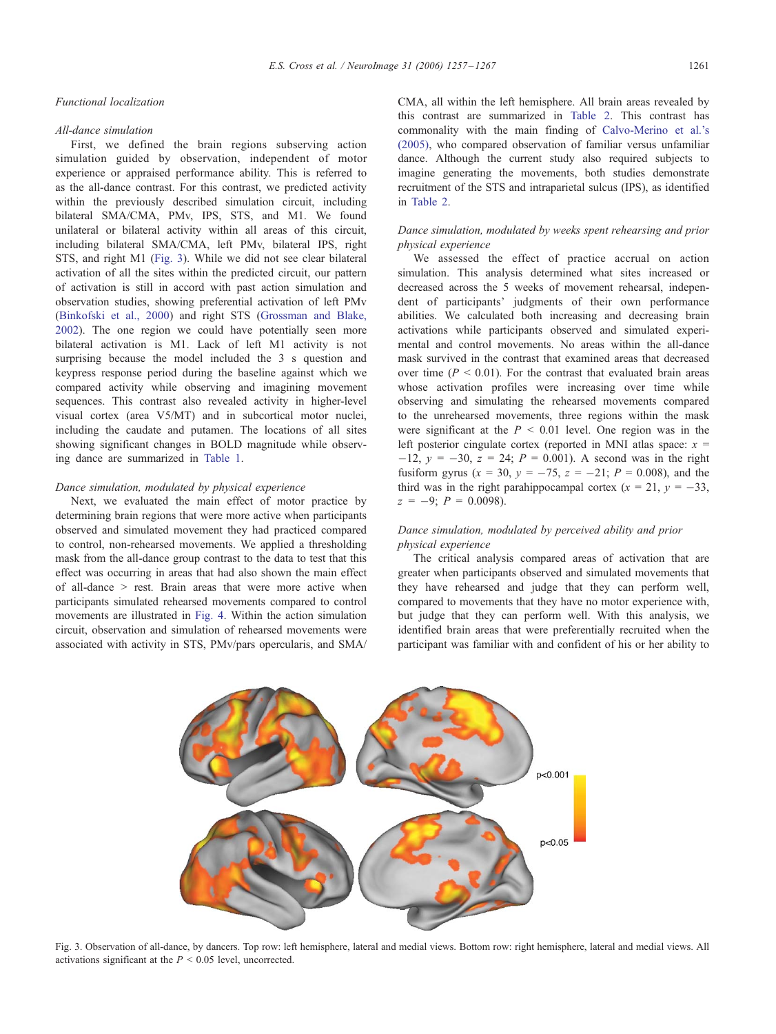# <span id="page-4-0"></span>Functional localization

## All-dance simulation

First, we defined the brain regions subserving action simulation guided by observation, independent of motor experience or appraised performance ability. This is referred to as the all-dance contrast. For this contrast, we predicted activity within the previously described simulation circuit, including bilateral SMA/CMA, PMv, IPS, STS, and M1. We found unilateral or bilateral activity within all areas of this circuit, including bilateral SMA/CMA, left PMv, bilateral IPS, right STS, and right M1 (Fig. 3). While we did not see clear bilateral activation of all the sites within the predicted circuit, our pattern of activation is still in accord with past action simulation and observation studies, showing preferential activation of left PMv ([Binkofski et al., 2000\)](#page-8-0) and right STS ([Grossman and Blake,](#page-9-0) 2002). The one region we could have potentially seen more bilateral activation is M1. Lack of left M1 activity is not surprising because the model included the 3 s question and keypress response period during the baseline against which we compared activity while observing and imagining movement sequences. This contrast also revealed activity in higher-level visual cortex (area V5/MT) and in subcortical motor nuclei, including the caudate and putamen. The locations of all sites showing significant changes in BOLD magnitude while observing dance are summarized in [Table 1.](#page-5-0)

#### Dance simulation, modulated by physical experience

Next, we evaluated the main effect of motor practice by determining brain regions that were more active when participants observed and simulated movement they had practiced compared to control, non-rehearsed movements. We applied a thresholding mask from the all-dance group contrast to the data to test that this effect was occurring in areas that had also shown the main effect of all-dance > rest. Brain areas that were more active when participants simulated rehearsed movements compared to control movements are illustrated in [Fig. 4.](#page-5-0) Within the action simulation circuit, observation and simulation of rehearsed movements were associated with activity in STS, PMv/pars opercularis, and SMA/

CMA, all within the left hemisphere. All brain areas revealed by this contrast are summarized in [Table 2.](#page-6-0) This contrast has commonality with the main finding of [Calvo-Merino et al.'s](#page-9-0) (2005), who compared observation of familiar versus unfamiliar dance. Although the current study also required subjects to imagine generating the movements, both studies demonstrate recruitment of the STS and intraparietal sulcus (IPS), as identified in [Table 2.](#page-6-0)

# Dance simulation, modulated by weeks spent rehearsing and prior physical experience

We assessed the effect of practice accrual on action simulation. This analysis determined what sites increased or decreased across the 5 weeks of movement rehearsal, independent of participants' judgments of their own performance abilities. We calculated both increasing and decreasing brain activations while participants observed and simulated experimental and control movements. No areas within the all-dance mask survived in the contrast that examined areas that decreased over time  $(P \le 0.01)$ . For the contrast that evaluated brain areas whose activation profiles were increasing over time while observing and simulating the rehearsed movements compared to the unrehearsed movements, three regions within the mask were significant at the  $P < 0.01$  level. One region was in the left posterior cingulate cortex (reported in MNI atlas space:  $x =$  $-12$ ,  $y = -30$ ,  $z = 24$ ;  $P = 0.001$ ). A second was in the right fusiform gyrus ( $x = 30$ ,  $y = -75$ ,  $z = -21$ ;  $P = 0.008$ ), and the third was in the right parahippocampal cortex ( $x = 21$ ,  $y = -33$ ,  $z = -9$ ;  $P = 0.0098$ ).

# Dance simulation, modulated by perceived ability and prior physical experience

The critical analysis compared areas of activation that are greater when participants observed and simulated movements that they have rehearsed and judge that they can perform well, compared to movements that they have no motor experience with, but judge that they can perform well. With this analysis, we identified brain areas that were preferentially recruited when the participant was familiar with and confident of his or her ability to



Fig. 3. Observation of all-dance, by dancers. Top row: left hemisphere, lateral and medial views. Bottom row: right hemisphere, lateral and medial views. All activations significant at the  $P < 0.05$  level, uncorrected.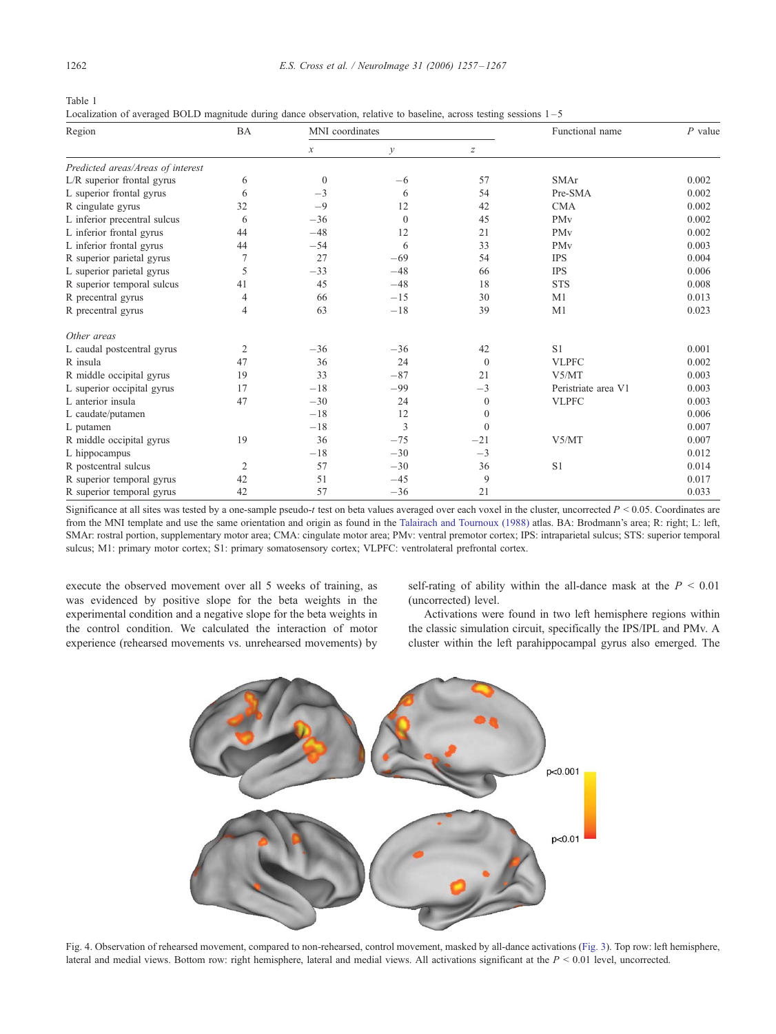<span id="page-5-0"></span>

| Table 1                                                                                                               |
|-----------------------------------------------------------------------------------------------------------------------|
| Localization of averaged BOLD magnitude during dance observation, relative to baseline, across testing sessions $1-5$ |

| Region                            | <b>BA</b>      | MNI coordinates     |               | Functional name  | $P$ value           |       |
|-----------------------------------|----------------|---------------------|---------------|------------------|---------------------|-------|
|                                   |                | $\boldsymbol{\chi}$ | $\mathcal{Y}$ | $\boldsymbol{Z}$ |                     |       |
| Predicted areas/Areas of interest |                |                     |               |                  |                     |       |
| L/R superior frontal gyrus        | 6              | $\Omega$            | $-6$          | 57               | <b>SMAr</b>         | 0.002 |
| L superior frontal gyrus          | 6              | $-3$                | 6             | 54               | Pre-SMA             | 0.002 |
| R cingulate gyrus                 | 32             | $-9$                | 12            | 42               | <b>CMA</b>          | 0.002 |
| L inferior precentral sulcus      | 6              | $-36$               | $\Omega$      | 45               | PM <sub>v</sub>     | 0.002 |
| L inferior frontal gyrus          | 44             | $-48$               | 12            | 21               | PM <sub>v</sub>     | 0.002 |
| L inferior frontal gyrus          | 44             | $-54$               | 6             | 33               | PM <sub>v</sub>     | 0.003 |
| R superior parietal gyrus         | 7              | 27                  | $-69$         | 54               | <b>IPS</b>          | 0.004 |
| L superior parietal gyrus         | 5              | $-33$               | $-48$         | 66               | <b>IPS</b>          | 0.006 |
| R superior temporal sulcus        | 41             | 45                  | $-48$         | 18               | <b>STS</b>          | 0.008 |
| R precentral gyrus                | 4              | 66                  | $-15$         | 30               | M1                  | 0.013 |
| R precentral gyrus                | 4              | 63                  | $-18$         | 39               | M1                  | 0.023 |
| Other areas                       |                |                     |               |                  |                     |       |
| L caudal postcentral gyrus        | $\overline{2}$ | $-36$               | $-36$         | 42               | S <sub>1</sub>      | 0.001 |
| R insula                          | 47             | 36                  | 24            | $\mathbf{0}$     | <b>VLPFC</b>        | 0.002 |
| R middle occipital gyrus          | 19             | 33                  | $-87$         | 21               | V5/MT               | 0.003 |
| L superior occipital gyrus        | 17             | $-18$               | $-99$         | $-3$             | Peristriate area V1 | 0.003 |
| L anterior insula                 | 47             | $-30$               | 24            | $\mathbf{0}$     | <b>VLPFC</b>        | 0.003 |
| L caudate/putamen                 |                | $-18$               | 12            | $\boldsymbol{0}$ |                     | 0.006 |
| L putamen                         |                | $-18$               | 3             | $\theta$         |                     | 0.007 |
| R middle occipital gyrus          | 19             | 36                  | $-75$         | $-21$            | V5/MT               | 0.007 |
| L hippocampus                     |                | $-18$               | $-30$         | $-3$             |                     | 0.012 |
| R postcentral sulcus              | $\overline{2}$ | 57                  | $-30$         | 36               | S <sub>1</sub>      | 0.014 |
| R superior temporal gyrus         | 42             | 51                  | $-45$         | 9                |                     | 0.017 |
| R superior temporal gyrus         | 42             | 57                  | $-36$         | 21               |                     | 0.033 |

Significance at all sites was tested by a one-sample pseudo-t test on beta values averaged over each voxel in the cluster, uncorrected  $P < 0.05$ . Coordinates are from the MNI template and use the same orientation and origin as found in the [Talairach and Tournoux \(1988\)](#page-10-0) atlas. BA: Brodmann's area; R: right; L: left, SMAr: rostral portion, supplementary motor area; CMA: cingulate motor area; PMv: ventral premotor cortex; IPS: intraparietal sulcus; STS: superior temporal sulcus; M1: primary motor cortex; S1: primary somatosensory cortex; VLPFC: ventrolateral prefrontal cortex.

execute the observed movement over all 5 weeks of training, as was evidenced by positive slope for the beta weights in the experimental condition and a negative slope for the beta weights in the control condition. We calculated the interaction of motor experience (rehearsed movements vs. unrehearsed movements) by self-rating of ability within the all-dance mask at the  $P < 0.01$ (uncorrected) level.

Activations were found in two left hemisphere regions within the classic simulation circuit, specifically the IPS/IPL and PMv. A cluster within the left parahippocampal gyrus also emerged. The



Fig. 4. Observation of rehearsed movement, compared to non-rehearsed, control movement, masked by all-dance activations ([Fig. 3\)](#page-4-0). Top row: left hemisphere, lateral and medial views. Bottom row: right hemisphere, lateral and medial views. All activations significant at the  $P < 0.01$  level, uncorrected.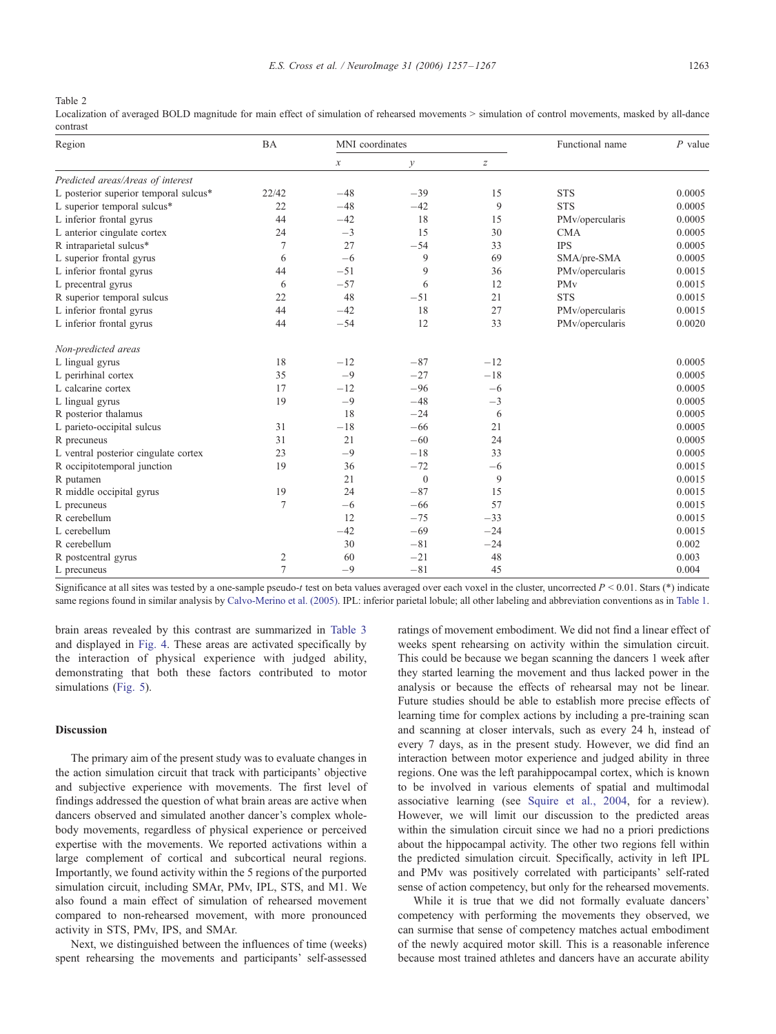<span id="page-6-0"></span>Table 2

Localization of averaged BOLD magnitude for main effect of simulation of rehearsed movements > simulation of control movements, masked by all-dance contrast

| Region                                | <b>BA</b> | MNI coordinates     |                  |                  | Functional name | $P$ value |
|---------------------------------------|-----------|---------------------|------------------|------------------|-----------------|-----------|
|                                       |           | $\boldsymbol{\chi}$ | $\mathcal{Y}$    | $\boldsymbol{Z}$ |                 |           |
| Predicted areas/Areas of interest     |           |                     |                  |                  |                 |           |
| L posterior superior temporal sulcus* | 22/42     | $-48$               | $-39$            | 15               | <b>STS</b>      | 0.0005    |
| L superior temporal sulcus*           | 22        | $-48$               | $-42$            | 9                | <b>STS</b>      | 0.0005    |
| L inferior frontal gyrus              | 44        | $-42$               | 18               | 15               | PMv/opercularis | 0.0005    |
| L anterior cingulate cortex           | 24        | $-3$                | 15               | 30               | <b>CMA</b>      | 0.0005    |
| R intraparietal sulcus*               | 7         | 27                  | $-54$            | 33               | <b>IPS</b>      | 0.0005    |
| L superior frontal gyrus              | 6         | $-6$                | 9                | 69               | SMA/pre-SMA     | 0.0005    |
| L inferior frontal gyrus              | 44        | $-51$               | 9                | 36               | PMv/opercularis | 0.0015    |
| L precentral gyrus                    | 6         | $-57$               | 6                | 12               | PM <sub>v</sub> | 0.0015    |
| R superior temporal sulcus            | 22        | 48                  | $-51$            | 21               | <b>STS</b>      | 0.0015    |
| L inferior frontal gyrus              | 44        | $-42$               | 18               | 27               | PMv/opercularis | 0.0015    |
| L inferior frontal gyrus              | 44        | $-54$               | 12               | 33               | PMv/opercularis | 0.0020    |
| Non-predicted areas                   |           |                     |                  |                  |                 |           |
| L lingual gyrus                       | 18        | $-12$               | $-87$            | $-12$            |                 | 0.0005    |
| L perirhinal cortex                   | 35        | $-9$                | $-27$            | $-18$            |                 | 0.0005    |
| L calcarine cortex                    | 17        | $-12$               | $-96$            | $-6$             |                 | 0.0005    |
| L lingual gyrus                       | 19        | $-9$                | $-48$            | $-3$             |                 | 0.0005    |
| R posterior thalamus                  |           | 18                  | $-24$            | 6                |                 | 0.0005    |
| L parieto-occipital sulcus            | 31        | $-18$               | $-66$            | 21               |                 | 0.0005    |
| R precuneus                           | 31        | 21                  | $-60$            | 24               |                 | 0.0005    |
| L ventral posterior cingulate cortex  | 23        | $-9$                | $-18$            | 33               |                 | 0.0005    |
| R occipitotemporal junction           | 19        | 36                  | $-72$            | $-6$             |                 | 0.0015    |
| R putamen                             |           | 21                  | $\boldsymbol{0}$ | 9                |                 | 0.0015    |
| R middle occipital gyrus              | 19        | 24                  | $-87$            | 15               |                 | 0.0015    |
| L precuneus                           | 7         | $-6$                | $-66$            | 57               |                 | 0.0015    |
| R cerebellum                          |           | 12                  | $-75$            | $-33$            |                 | 0.0015    |
| L cerebellum                          |           | $-42$               | $-69$            | $-24$            |                 | 0.0015    |
| R cerebellum                          |           | 30                  | $-81$            | $-24$            |                 | 0.002     |
| R postcentral gyrus                   | 2         | 60                  | $-21$            | 48               |                 | 0.003     |
| L precuneus                           | 7         | $-9$                | $-81$            | 45               |                 | 0.004     |

Significance at all sites was tested by a one-sample pseudo-t test on beta values averaged over each voxel in the cluster, uncorrected  $P < 0.01$ . Stars (\*) indicate same regions found in similar analysis by [Calvo-Merino et al. \(2005\).](#page-9-0) IPL: inferior parietal lobule; all other labeling and abbreviation conventions as in [Table 1.](#page-5-0)

brain areas revealed by this contrast are summarized in [Table 3](#page-7-0) and displayed in [Fig. 4.](#page-5-0) These areas are activated specifically by the interaction of physical experience with judged ability, demonstrating that both these factors contributed to motor simulations ([Fig. 5\)](#page-7-0).

## Discussion

The primary aim of the present study was to evaluate changes in the action simulation circuit that track with participants' objective and subjective experience with movements. The first level of findings addressed the question of what brain areas are active when dancers observed and simulated another dancer's complex wholebody movements, regardless of physical experience or perceived expertise with the movements. We reported activations within a large complement of cortical and subcortical neural regions. Importantly, we found activity within the 5 regions of the purported simulation circuit, including SMAr, PMv, IPL, STS, and M1. We also found a main effect of simulation of rehearsed movement compared to non-rehearsed movement, with more pronounced activity in STS, PMv, IPS, and SMAr.

Next, we distinguished between the influences of time (weeks) spent rehearsing the movements and participants' self-assessed ratings of movement embodiment. We did not find a linear effect of weeks spent rehearsing on activity within the simulation circuit. This could be because we began scanning the dancers 1 week after they started learning the movement and thus lacked power in the analysis or because the effects of rehearsal may not be linear. Future studies should be able to establish more precise effects of learning time for complex actions by including a pre-training scan and scanning at closer intervals, such as every 24 h, instead of every 7 days, as in the present study. However, we did find an interaction between motor experience and judged ability in three regions. One was the left parahippocampal cortex, which is known to be involved in various elements of spatial and multimodal associative learning (see [Squire et al., 2004,](#page-10-0) for a review). However, we will limit our discussion to the predicted areas within the simulation circuit since we had no a priori predictions about the hippocampal activity. The other two regions fell within the predicted simulation circuit. Specifically, activity in left IPL and PMv was positively correlated with participants' self-rated sense of action competency, but only for the rehearsed movements.

While it is true that we did not formally evaluate dancers' competency with performing the movements they observed, we can surmise that sense of competency matches actual embodiment of the newly acquired motor skill. This is a reasonable inference because most trained athletes and dancers have an accurate ability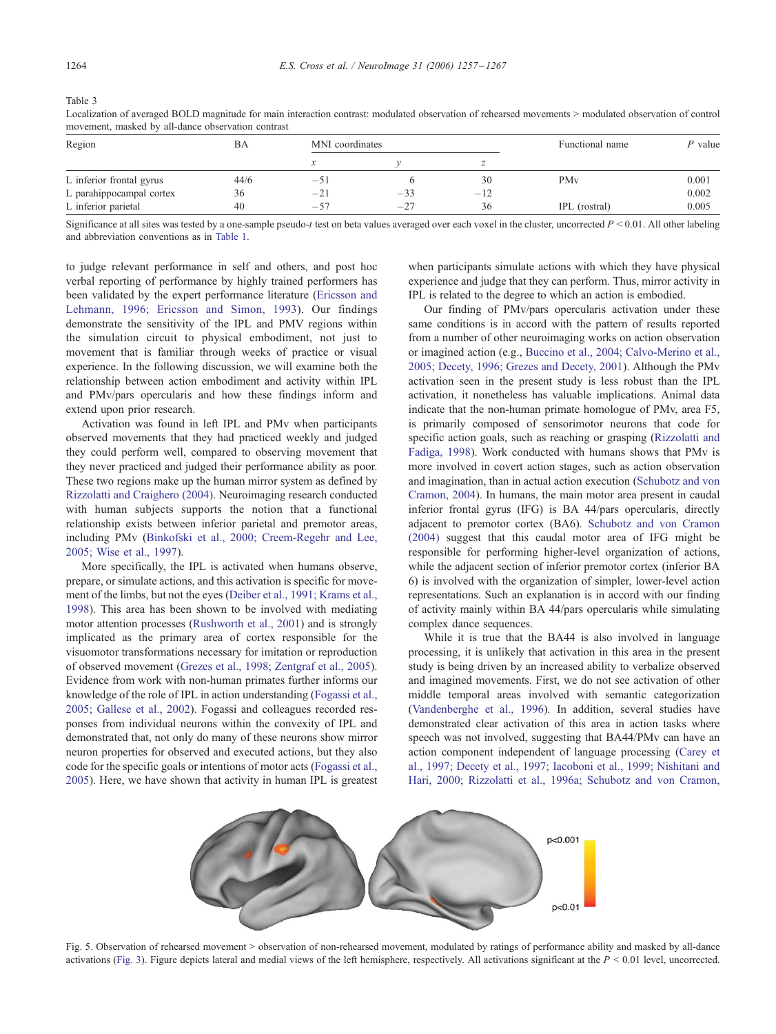<span id="page-7-0"></span>Table 3

Localization of averaged BOLD magnitude for main interaction contrast: modulated observation of rehearsed movements > modulated observation of control movement, masked by all-dance observation contrast

| Region                   | ΒA   | MNI coordinates |       | Functional name | P value         |       |
|--------------------------|------|-----------------|-------|-----------------|-----------------|-------|
|                          |      |                 |       |                 |                 |       |
| L inferior frontal gyrus | 44/6 | $-51$           |       | 30              | PM <sub>v</sub> | 0.001 |
| L parahippocampal cortex | 36   | $-21$           | $-33$ | $-12$           |                 | 0.002 |
| L inferior parietal      | 40   | $-57$           | $-27$ | 36              | IPL (rostral)   | 0.005 |

Significance at all sites was tested by a one-sample pseudo-t test on beta values averaged over each voxel in the cluster, uncorrected  $P \le 0.01$ . All other labeling and abbreviation conventions as in [Table 1.](#page-5-0)

to judge relevant performance in self and others, and post hoc verbal reporting of performance by highly trained performers has been validated by the expert performance literature ([Ericsson and](#page-9-0) Lehmann, 1996; Ericsson and Simon, 1993). Our findings demonstrate the sensitivity of the IPL and PMV regions within the simulation circuit to physical embodiment, not just to movement that is familiar through weeks of practice or visual experience. In the following discussion, we will examine both the relationship between action embodiment and activity within IPL and PMv/pars opercularis and how these findings inform and extend upon prior research.

Activation was found in left IPL and PMv when participants observed movements that they had practiced weekly and judged they could perform well, compared to observing movement that they never practiced and judged their performance ability as poor. These two regions make up the human mirror system as defined by [Rizzolatti and Craighero \(2004\).](#page-9-0) Neuroimaging research conducted with human subjects supports the notion that a functional relationship exists between inferior parietal and premotor areas, including PMv ([Binkofski et al., 2000; Creem-Regehr and Lee,](#page-8-0) 2005; Wise et al., 1997).

More specifically, the IPL is activated when humans observe, prepare, or simulate actions, and this activation is specific for movement of the limbs, but not the eyes ([Deiber et al., 1991; Krams et al.,](#page-9-0) 1998). This area has been shown to be involved with mediating motor attention processes ([Rushworth et al., 2001\)](#page-10-0) and is strongly implicated as the primary area of cortex responsible for the visuomotor transformations necessary for imitation or reproduction of observed movement ([Grezes et al., 1998; Zentgraf et al., 2005\)](#page-9-0). Evidence from work with non-human primates further informs our knowledge of the role of IPL in action understanding ([Fogassi et al.,](#page-9-0) 2005; Gallese et al., 2002). Fogassi and colleagues recorded responses from individual neurons within the convexity of IPL and demonstrated that, not only do many of these neurons show mirror neuron properties for observed and executed actions, but they also code for the specific goals or intentions of motor acts ([Fogassi et al.,](#page-9-0) 2005). Here, we have shown that activity in human IPL is greatest when participants simulate actions with which they have physical experience and judge that they can perform. Thus, mirror activity in IPL is related to the degree to which an action is embodied.

Our finding of PMv/pars opercularis activation under these same conditions is in accord with the pattern of results reported from a number of other neuroimaging works on action observation or imagined action (e.g., [Buccino et al., 2004; Calvo-Merino et al.,](#page-9-0) 2005; Decety, 1996; Grezes and Decety, 2001). Although the PMv activation seen in the present study is less robust than the IPL activation, it nonetheless has valuable implications. Animal data indicate that the non-human primate homologue of PMv, area F5, is primarily composed of sensorimotor neurons that code for specific action goals, such as reaching or grasping ([Rizzolatti and](#page-9-0) Fadiga, 1998). Work conducted with humans shows that PMv is more involved in covert action stages, such as action observation and imagination, than in actual action execution ([Schubotz and von](#page-10-0) Cramon, 2004). In humans, the main motor area present in caudal inferior frontal gyrus (IFG) is BA 44/pars opercularis, directly adjacent to premotor cortex (BA6). [Schubotz and von Cramon](#page-10-0) (2004) suggest that this caudal motor area of IFG might be responsible for performing higher-level organization of actions, while the adjacent section of inferior premotor cortex (inferior BA 6) is involved with the organization of simpler, lower-level action representations. Such an explanation is in accord with our finding of activity mainly within BA 44/pars opercularis while simulating complex dance sequences.

While it is true that the BA44 is also involved in language processing, it is unlikely that activation in this area in the present study is being driven by an increased ability to verbalize observed and imagined movements. First, we do not see activation of other middle temporal areas involved with semantic categorization ([Vandenberghe et al., 1996\)](#page-10-0). In addition, several studies have demonstrated clear activation of this area in action tasks where speech was not involved, suggesting that BA44/PMv can have an action component independent of language processing ([Carey et](#page-9-0) al., 1997; Decety et al., 1997; Iacoboni et al., 1999; Nishitani and Hari, 2000; Rizzolatti et al., 1996a; Schubotz and von Cramon,



Fig. 5. Observation of rehearsed movement > observation of non-rehearsed movement, modulated by ratings of performance ability and masked by all-dance activations ([Fig. 3\)](#page-4-0). Figure depicts lateral and medial views of the left hemisphere, respectively. All activations significant at the  $P < 0.01$  level, uncorrected.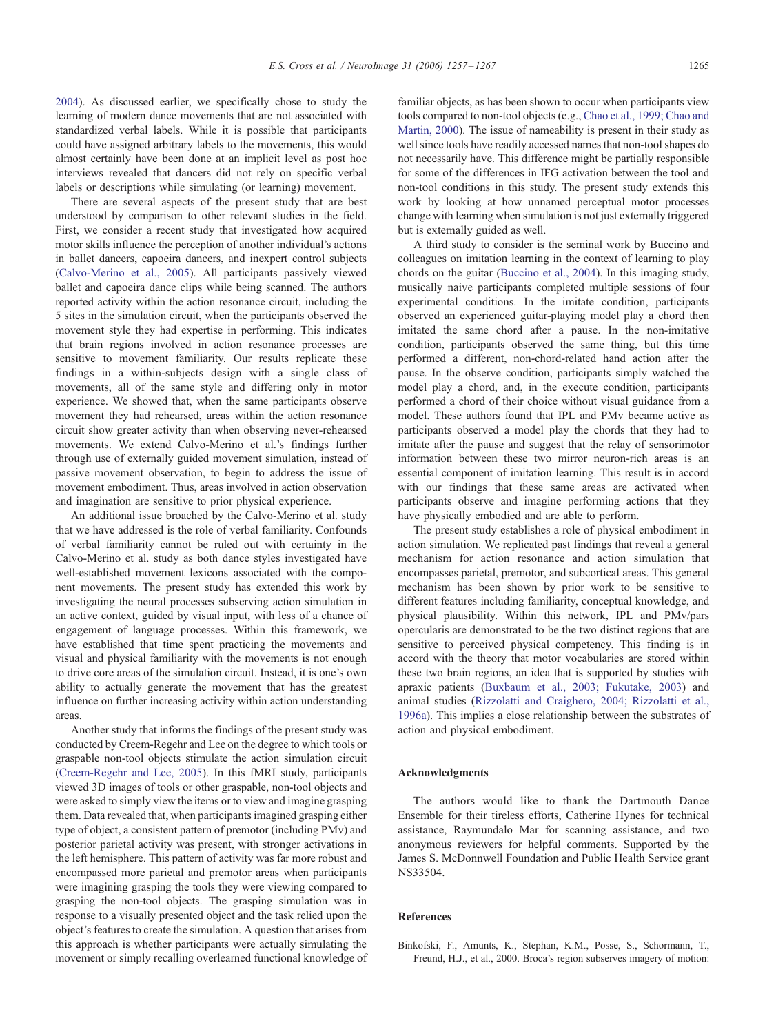<span id="page-8-0"></span>2004). As discussed earlier, we specifically chose to study the learning of modern dance movements that are not associated with standardized verbal labels. While it is possible that participants could have assigned arbitrary labels to the movements, this would almost certainly have been done at an implicit level as post hoc interviews revealed that dancers did not rely on specific verbal labels or descriptions while simulating (or learning) movement.

There are several aspects of the present study that are best understood by comparison to other relevant studies in the field. First, we consider a recent study that investigated how acquired motor skills influence the perception of another individual's actions in ballet dancers, capoeira dancers, and inexpert control subjects ([Calvo-Merino et al., 2005\)](#page-9-0). All participants passively viewed ballet and capoeira dance clips while being scanned. The authors reported activity within the action resonance circuit, including the 5 sites in the simulation circuit, when the participants observed the movement style they had expertise in performing. This indicates that brain regions involved in action resonance processes are sensitive to movement familiarity. Our results replicate these findings in a within-subjects design with a single class of movements, all of the same style and differing only in motor experience. We showed that, when the same participants observe movement they had rehearsed, areas within the action resonance circuit show greater activity than when observing never-rehearsed movements. We extend Calvo-Merino et al.'s findings further through use of externally guided movement simulation, instead of passive movement observation, to begin to address the issue of movement embodiment. Thus, areas involved in action observation and imagination are sensitive to prior physical experience.

An additional issue broached by the Calvo-Merino et al. study that we have addressed is the role of verbal familiarity. Confounds of verbal familiarity cannot be ruled out with certainty in the Calvo-Merino et al. study as both dance styles investigated have well-established movement lexicons associated with the component movements. The present study has extended this work by investigating the neural processes subserving action simulation in an active context, guided by visual input, with less of a chance of engagement of language processes. Within this framework, we have established that time spent practicing the movements and visual and physical familiarity with the movements is not enough to drive core areas of the simulation circuit. Instead, it is one's own ability to actually generate the movement that has the greatest influence on further increasing activity within action understanding areas.

Another study that informs the findings of the present study was conducted by Creem-Regehr and Lee on the degree to which tools or graspable non-tool objects stimulate the action simulation circuit ([Creem-Regehr and Lee, 2005\)](#page-9-0). In this fMRI study, participants viewed 3D images of tools or other graspable, non-tool objects and were asked to simply view the items or to view and imagine grasping them. Data revealed that, when participants imagined grasping either type of object, a consistent pattern of premotor (including PMv) and posterior parietal activity was present, with stronger activations in the left hemisphere. This pattern of activity was far more robust and encompassed more parietal and premotor areas when participants were imagining grasping the tools they were viewing compared to grasping the non-tool objects. The grasping simulation was in response to a visually presented object and the task relied upon the object's features to create the simulation. A question that arises from this approach is whether participants were actually simulating the movement or simply recalling overlearned functional knowledge of familiar objects, as has been shown to occur when participants view tools compared to non-tool objects (e.g., [Chao et al., 1999; Chao and](#page-9-0) Martin, 2000). The issue of nameability is present in their study as well since tools have readily accessed names that non-tool shapes do not necessarily have. This difference might be partially responsible for some of the differences in IFG activation between the tool and non-tool conditions in this study. The present study extends this work by looking at how unnamed perceptual motor processes change with learning when simulation is not just externally triggered but is externally guided as well.

A third study to consider is the seminal work by Buccino and colleagues on imitation learning in the context of learning to play chords on the guitar ([Buccino et al., 2004\)](#page-9-0). In this imaging study, musically naive participants completed multiple sessions of four experimental conditions. In the imitate condition, participants observed an experienced guitar-playing model play a chord then imitated the same chord after a pause. In the non-imitative condition, participants observed the same thing, but this time performed a different, non-chord-related hand action after the pause. In the observe condition, participants simply watched the model play a chord, and, in the execute condition, participants performed a chord of their choice without visual guidance from a model. These authors found that IPL and PMv became active as participants observed a model play the chords that they had to imitate after the pause and suggest that the relay of sensorimotor information between these two mirror neuron-rich areas is an essential component of imitation learning. This result is in accord with our findings that these same areas are activated when participants observe and imagine performing actions that they have physically embodied and are able to perform.

The present study establishes a role of physical embodiment in action simulation. We replicated past findings that reveal a general mechanism for action resonance and action simulation that encompasses parietal, premotor, and subcortical areas. This general mechanism has been shown by prior work to be sensitive to different features including familiarity, conceptual knowledge, and physical plausibility. Within this network, IPL and PMv/pars opercularis are demonstrated to be the two distinct regions that are sensitive to perceived physical competency. This finding is in accord with the theory that motor vocabularies are stored within these two brain regions, an idea that is supported by studies with apraxic patients ([Buxbaum et al., 2003; Fukutake, 2003\)](#page-9-0) and animal studies ([Rizzolatti and Craighero, 2004; Rizzolatti et al.,](#page-9-0) 1996a). This implies a close relationship between the substrates of action and physical embodiment.

#### Acknowledgments

The authors would like to thank the Dartmouth Dance Ensemble for their tireless efforts, Catherine Hynes for technical assistance, Raymundalo Mar for scanning assistance, and two anonymous reviewers for helpful comments. Supported by the James S. McDonnwell Foundation and Public Health Service grant NS33504.

# References

Binkofski, F., Amunts, K., Stephan, K.M., Posse, S., Schormann, T., Freund, H.J., et al., 2000. Broca's region subserves imagery of motion: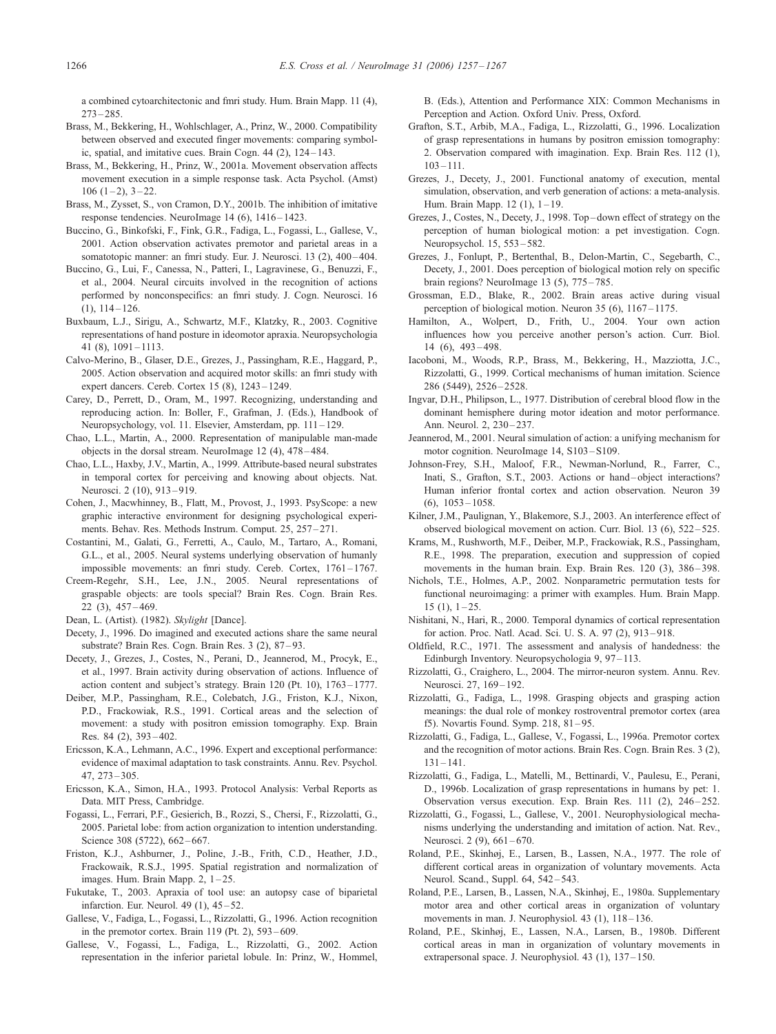<span id="page-9-0"></span>a combined cytoarchitectonic and fmri study. Hum. Brain Mapp. 11 (4),  $273 - 285$ .

- Brass, M., Bekkering, H., Wohlschlager, A., Prinz, W., 2000. Compatibility between observed and executed finger movements: comparing symbolic, spatial, and imitative cues. Brain Cogn.  $44$  (2),  $124 - 143$ .
- Brass, M., Bekkering, H., Prinz, W., 2001a. Movement observation affects movement execution in a simple response task. Acta Psychol. (Amst)  $106$   $(1-2)$ ,  $3-22$ .
- Brass, M., Zysset, S., von Cramon, D.Y., 2001b. The inhibition of imitative response tendencies. NeuroImage 14 (6), 1416 – 1423.
- Buccino, G., Binkofski, F., Fink, G.R., Fadiga, L., Fogassi, L., Gallese, V., 2001. Action observation activates premotor and parietal areas in a somatotopic manner: an fmri study. Eur. J. Neurosci. 13 (2), 400-404.
- Buccino, G., Lui, F., Canessa, N., Patteri, I., Lagravinese, G., Benuzzi, F., et al., 2004. Neural circuits involved in the recognition of actions performed by nonconspecifics: an fmri study. J. Cogn. Neurosci. 16  $(1)$ ,  $114 - 126$ .
- Buxbaum, L.J., Sirigu, A., Schwartz, M.F., Klatzky, R., 2003. Cognitive representations of hand posture in ideomotor apraxia. Neuropsychologia  $41(8)$ ,  $1091 - 1113$ .
- Calvo-Merino, B., Glaser, D.E., Grezes, J., Passingham, R.E., Haggard, P., 2005. Action observation and acquired motor skills: an fmri study with expert dancers. Cereb. Cortex 15 (8), 1243 – 1249.
- Carey, D., Perrett, D., Oram, M., 1997. Recognizing, understanding and reproducing action. In: Boller, F., Grafman, J. (Eds.), Handbook of Neuropsychology, vol. 11. Elsevier, Amsterdam, pp. 111 – 129.
- Chao, L.L., Martin, A., 2000. Representation of manipulable man-made objects in the dorsal stream. NeuroImage 12 (4), 478 – 484.
- Chao, L.L., Haxby, J.V., Martin, A., 1999. Attribute-based neural substrates in temporal cortex for perceiving and knowing about objects. Nat. Neurosci. 2 (10), 913-919.
- Cohen, J., Macwhinney, B., Flatt, M., Provost, J., 1993. PsyScope: a new graphic interactive environment for designing psychological experiments. Behav. Res. Methods Instrum. Comput. 25, 257 – 271.
- Costantini, M., Galati, G., Ferretti, A., Caulo, M., Tartaro, A., Romani, G.L., et al., 2005. Neural systems underlying observation of humanly impossible movements: an fmri study. Cereb. Cortex, 1761 – 1767.
- Creem-Regehr, S.H., Lee, J.N., 2005. Neural representations of graspable objects: are tools special? Brain Res. Cogn. Brain Res.  $22(3)$ ,  $457-469$ .
- Dean, L. (Artist). (1982). Skylight [Dance].
- Decety, J., 1996. Do imagined and executed actions share the same neural substrate? Brain Res. Cogn. Brain Res. 3 (2), 87 – 93.
- Decety, J., Grezes, J., Costes, N., Perani, D., Jeannerod, M., Procyk, E., et al., 1997. Brain activity during observation of actions. Influence of action content and subject's strategy. Brain 120 (Pt. 10), 1763 – 1777.
- Deiber, M.P., Passingham, R.E., Colebatch, J.G., Friston, K.J., Nixon, P.D., Frackowiak, R.S., 1991. Cortical areas and the selection of movement: a study with positron emission tomography. Exp. Brain Res. 84 (2), 393 – 402.
- Ericsson, K.A., Lehmann, A.C., 1996. Expert and exceptional performance: evidence of maximal adaptation to task constraints. Annu. Rev. Psychol. 47, 273 – 305.
- Ericsson, K.A., Simon, H.A., 1993. Protocol Analysis: Verbal Reports as Data. MIT Press, Cambridge.
- Fogassi, L., Ferrari, P.F., Gesierich, B., Rozzi, S., Chersi, F., Rizzolatti, G., 2005. Parietal lobe: from action organization to intention understanding. Science 308 (5722), 662-667.
- Friston, K.J., Ashburner, J., Poline, J.-B., Frith, C.D., Heather, J.D., Frackowaik, R.S.J., 1995. Spatial registration and normalization of images. Hum. Brain Mapp. 2, 1 – 25.
- Fukutake, T., 2003. Apraxia of tool use: an autopsy case of biparietal infarction. Eur. Neurol. 49 (1), 45 – 52.
- Gallese, V., Fadiga, L., Fogassi, L., Rizzolatti, G., 1996. Action recognition in the premotor cortex. Brain  $119$  (Pt. 2),  $593-609$ .
- Gallese, V., Fogassi, L., Fadiga, L., Rizzolatti, G., 2002. Action representation in the inferior parietal lobule. In: Prinz, W., Hommel,

B. (Eds.), Attention and Performance XIX: Common Mechanisms in Perception and Action. Oxford Univ. Press, Oxford.

- Grafton, S.T., Arbib, M.A., Fadiga, L., Rizzolatti, G., 1996. Localization of grasp representations in humans by positron emission tomography: 2. Observation compared with imagination. Exp. Brain Res. 112 (1),  $103 - 111$ .
- Grezes, J., Decety, J., 2001. Functional anatomy of execution, mental simulation, observation, and verb generation of actions: a meta-analysis. Hum. Brain Mapp. 12 (1), 1-19.
- Grezes, J., Costes, N., Decety, J., 1998. Top down effect of strategy on the perception of human biological motion: a pet investigation. Cogn. Neuropsychol. 15, 553 – 582.
- Grezes, J., Fonlupt, P., Bertenthal, B., Delon-Martin, C., Segebarth, C., Decety, J., 2001. Does perception of biological motion rely on specific brain regions? NeuroImage 13 (5), 775 – 785.
- Grossman, E.D., Blake, R., 2002. Brain areas active during visual perception of biological motion. Neuron 35 (6), 1167-1175.
- Hamilton, A., Wolpert, D., Frith, U., 2004. Your own action influences how you perceive another person's action. Curr. Biol. 14 (6), 493 – 498.
- Iacoboni, M., Woods, R.P., Brass, M., Bekkering, H., Mazziotta, J.C., Rizzolatti, G., 1999. Cortical mechanisms of human imitation. Science 286 (5449), 2526 – 2528.
- Ingvar, D.H., Philipson, L., 1977. Distribution of cerebral blood flow in the dominant hemisphere during motor ideation and motor performance. Ann. Neurol. 2, 230 – 237.
- Jeannerod, M., 2001. Neural simulation of action: a unifying mechanism for motor cognition. NeuroImage 14, S103-S109.
- Johnson-Frey, S.H., Maloof, F.R., Newman-Norlund, R., Farrer, C., Inati, S., Grafton, S.T., 2003. Actions or hand – object interactions? Human inferior frontal cortex and action observation. Neuron 39  $(6)$ ,  $1053 - 1058$ .
- Kilner, J.M., Paulignan, Y., Blakemore, S.J., 2003. An interference effect of observed biological movement on action. Curr. Biol. 13 (6), 522 – 525.
- Krams, M., Rushworth, M.F., Deiber, M.P., Frackowiak, R.S., Passingham, R.E., 1998. The preparation, execution and suppression of copied movements in the human brain. Exp. Brain Res. 120 (3), 386 – 398.
- Nichols, T.E., Holmes, A.P., 2002. Nonparametric permutation tests for functional neuroimaging: a primer with examples. Hum. Brain Mapp.  $15(1)$ ,  $1 - 25$ .
- Nishitani, N., Hari, R., 2000. Temporal dynamics of cortical representation for action. Proc. Natl. Acad. Sci. U. S. A. 97 (2), 913 – 918.
- Oldfield, R.C., 1971. The assessment and analysis of handedness: the Edinburgh Inventory. Neuropsychologia 9, 97 – 113.
- Rizzolatti, G., Craighero, L., 2004. The mirror-neuron system. Annu. Rev. Neurosci. 27, 169-192.
- Rizzolatti, G., Fadiga, L., 1998. Grasping objects and grasping action meanings: the dual role of monkey rostroventral premotor cortex (area f5). Novartis Found. Symp. 218, 81 – 95.
- Rizzolatti, G., Fadiga, L., Gallese, V., Fogassi, L., 1996a. Premotor cortex and the recognition of motor actions. Brain Res. Cogn. Brain Res. 3 (2),  $131 - 141.$
- Rizzolatti, G., Fadiga, L., Matelli, M., Bettinardi, V., Paulesu, E., Perani, D., 1996b. Localization of grasp representations in humans by pet: 1. Observation versus execution. Exp. Brain Res. 111 (2), 246-252.
- Rizzolatti, G., Fogassi, L., Gallese, V., 2001. Neurophysiological mechanisms underlying the understanding and imitation of action. Nat. Rev., Neurosci. 2 (9), 661-670.
- Roland, P.E., Skinhøj, E., Larsen, B., Lassen, N.A., 1977. The role of different cortical areas in organization of voluntary movements. Acta Neurol. Scand., Suppl. 64, 542-543.
- Roland, P.E., Larsen, B., Lassen, N.A., Skinhøj, E., 1980a. Supplementary motor area and other cortical areas in organization of voluntary movements in man. J. Neurophysiol.  $43$  (1),  $118-136$ .
- Roland, P.E., Skinhøj, E., Lassen, N.A., Larsen, B., 1980b. Different cortical areas in man in organization of voluntary movements in extrapersonal space. J. Neurophysiol. 43 (1), 137-150.